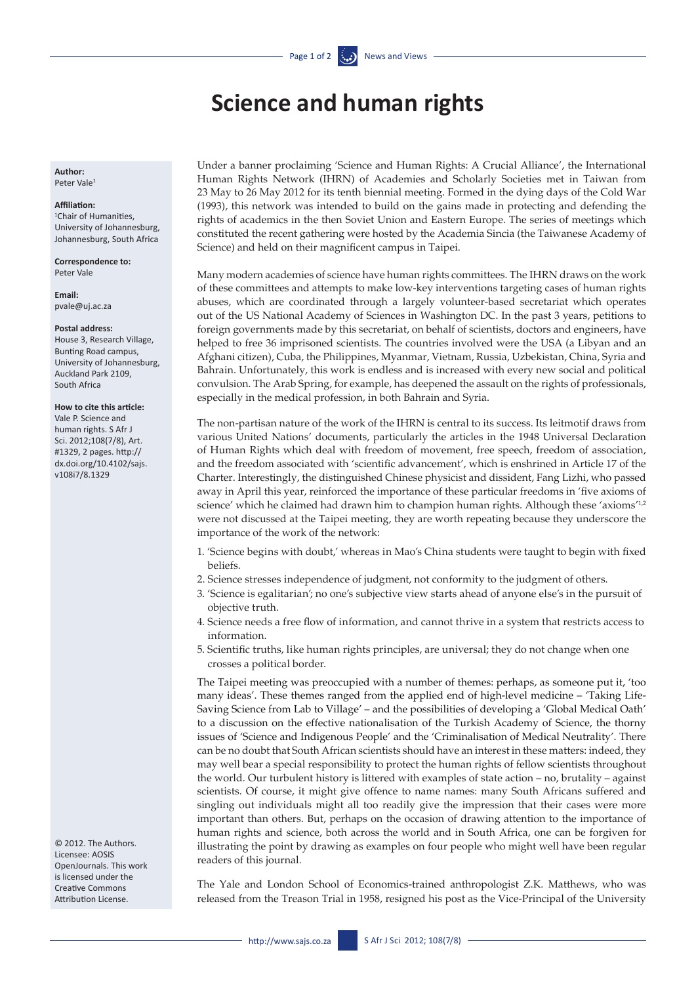# **Science and human rights**

**Author:** Peter Vale1

### **Affiliation:**

1 Chair of Humanities, University of Johannesburg, Johannesburg, South Africa

**Correspondence to:**  Peter Vale

**Email:**  [pvale@uj.ac.za](mailto:pvale@uj.ac.za)

#### **Postal address:**

House 3, Research Village, Bunting Road campus, University of Johannesburg, Auckland Park 2109, South Africa

## **How to cite this article:**

Vale P. Science and human rights. S Afr J Sci. 2012;108(7/8), Art. #1329, 2 pages. [http://](http://dx.doi.org/10.4102/sajs.v108i7/8.1329) [dx.doi.org/10.4102/sajs.](http://dx.doi.org/10.4102/sajs.v108i7/8.1329) [v108i7/8.1329](http://dx.doi.org/10.4102/sajs.v108i7/8.1329)

© 2012. The Authors. Licensee: AOSIS OpenJournals. This work is licensed under the Creative Commons Attribution License.

Under a banner proclaiming 'Science and Human Rights: A Crucial Alliance', the International Human Rights Network (IHRN) of Academies and Scholarly Societies met in Taiwan from 23 May to 26 May 2012 for its tenth biennial meeting. Formed in the dying days of the Cold War (1993), this network was intended to build on the gains made in protecting and defending the rights of academics in the then Soviet Union and Eastern Europe. The series of meetings which constituted the recent gathering were hosted by the Academia Sincia (the Taiwanese Academy of Science) and held on their magnificent campus in Taipei.

Many modern academies of science have human rights committees. The IHRN draws on the work of these committees and attempts to make low-key interventions targeting cases of human rights abuses, which are coordinated through a largely volunteer-based secretariat which operates out of the US National Academy of Sciences in Washington DC. In the past 3 years, petitions to foreign governments made by this secretariat, on behalf of scientists, doctors and engineers, have helped to free 36 imprisoned scientists. The countries involved were the USA (a Libyan and an Afghani citizen), Cuba, the Philippines, Myanmar, Vietnam, Russia, Uzbekistan, China, Syria and Bahrain. Unfortunately, this work is endless and is increased with every new social and political convulsion. The Arab Spring, for example, has deepened the assault on the rights of professionals, especially in the medical profession, in both Bahrain and Syria.

The non-partisan nature of the work of the IHRN is central to its success. Its leitmotif draws from various United Nations' documents, particularly the articles in the 1948 Universal Declaration of Human Rights which deal with freedom of movement, free speech, freedom of association, and the freedom associated with 'scientific advancement', which is enshrined in Article 17 of the Charter. Interestingly, the distinguished Chinese physicist and dissident, Fang Lizhi, who passed away in April this year, reinforced the importance of these particular freedoms in 'five axioms of science' which he claimed had drawn him to champion human rights. Although these 'axioms'<sup>1,2</sup> were not discussed at the Taipei meeting, they are worth repeating because they underscore the importance of the work of the network:

- 1. 'Science begins with doubt,' whereas in Mao's China students were taught to begin with fixed beliefs.
- 2. Science stresses independence of judgment, not conformity to the judgment of others.
- 3. 'Science is egalitarian'; no one's subjective view starts ahead of anyone else's in the pursuit of objective truth.
- 4. Science needs a free flow of information, and cannot thrive in a system that restricts access to information.
- 5. Scientific truths, like human rights principles, are universal; they do not change when one crosses a political border.

The Taipei meeting was preoccupied with a number of themes: perhaps, as someone put it, 'too many ideas'. These themes ranged from the applied end of high-level medicine – 'Taking Life-Saving Science from Lab to Village' – and the possibilities of developing a 'Global Medical Oath' to a discussion on the effective nationalisation of the Turkish Academy of Science, the thorny issues of 'Science and Indigenous People' and the 'Criminalisation of Medical Neutrality'. There can be no doubt that South African scientists should have an interest in these matters: indeed, they may well bear a special responsibility to protect the human rights of fellow scientists throughout the world. Our turbulent history is littered with examples of state action – no, brutality – against scientists. Of course, it might give offence to name names: many South Africans suffered and singling out individuals might all too readily give the impression that their cases were more important than others. But, perhaps on the occasion of drawing attention to the importance of human rights and science, both across the world and in South Africa, one can be forgiven for illustrating the point by drawing as examples on four people who might well have been regular readers of this journal.

The Yale and London School of Economics-trained anthropologist Z.K. Matthews, who was released from the Treason Trial in 1958, resigned his post as the Vice-Principal of the University